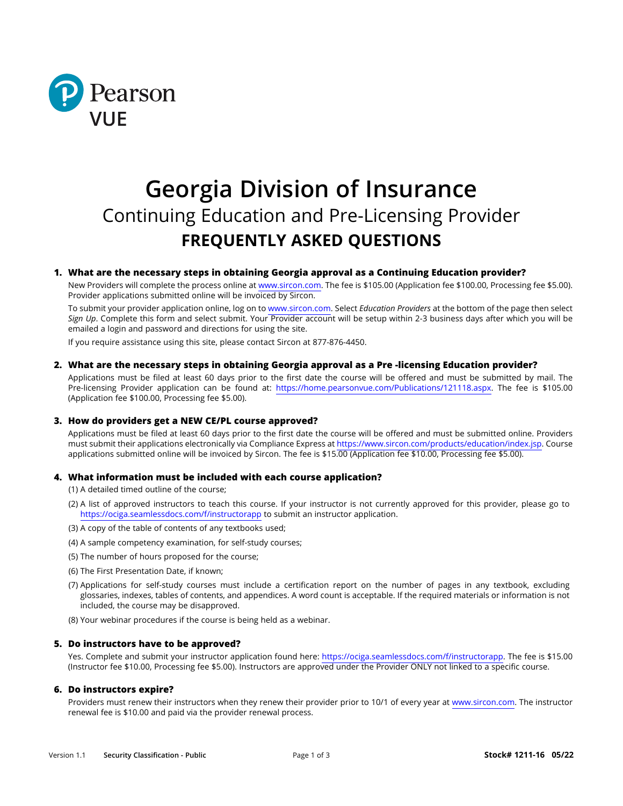

# **Georgia Division of Insurance** Continuing Education and Pre-Licensing Provider **FREQUENTLY ASKED QUESTIONS**

# **1. What are the necessary steps in obtaining Georgia approval as a Continuing Education provider?**

New Providers will complete the process online at [www.sircon.com. T](http://www.sircon.com/)he fee is \$105.00 (Application fee \$100.00, Processing fee \$5.00). Provider applications submitted online will be invoiced by Sircon.

To submit your provider application online, log on [to www.sircon.com.](http://www.sircon.com/) Select *Education Providers* at the bottom of the page then select *Sign Up*. Complete this form and select submit. Your Provider account will be setup within 2-3 business days after which you will be emailed a login and password and directions for using the site.

If you require assistance using this site, please contact Sircon at 877-876-4450.

## **2. What are the necessary steps in obtaining Georgia approval as a Pre -licensing Education provider?**

Applications must be filed at least 60 days prior to the first date the course will be offered and must be submitted by mail. The Pre-licensing Provider application can be found at: https://home.pearsonvue.com/Publications/121118.aspx. The fee is \$105.00 (Application fee \$100.00, Processing fee \$5.00).

#### **3. How do providers get a NEW CE/PL course approved?**

Applications must be filed at least 60 days prior to the first date the course will be offered and must be submitted online. Providers must submit their applications electronically via Compliance Express at [https://www.sircon.com/products/education/index.jsp.](https://www.sircon.com/products/education/index.jsp) Course applications submitted online will be invoiced by Sircon. The fee is \$15.00 (Application fee \$10.00, Processing fee \$5.00).

#### **4. What information must be included with each course application?**

(1) A detailed timed outline of the course;

- (2) A list of approved instructors to teach this course. If your instructor is not currently approved for this provider, please go to <https://ociga.seamlessdocs.com/f/instructorapp> to submit an instructor application.
- (3) A copy of the table of contents of any textbooks used;
- (4) A sample competency examination, for self-study courses;
- (5) The number of hours proposed for the course;
- (6) The First Presentation Date, if known;
- (7) Applications for self-study courses must include a certification report on the number of pages in any textbook, excluding glossaries, indexes, tables of contents, and appendices. A word count is acceptable. If the required materials or information is not included, the course may be disapproved.
- (8) Your webinar procedures if the course is being held as a webinar.

#### **5. Do instructors have to be approved?**

Yes. Complete and submit your instructor application found here: https://ociga.seamlessdocs.com/f/instructorapp. The fee is \$15.00 (Instructor fee \$10.00, Processing fee \$5.00). Instructors are approved under the Provider ONLY not linked to a specific course.

#### **6. Do instructors expire?**

Providers must renew their instructors when they renew their provider prior to 10/1 of every year at www.sircon.com. The instructor renewal fee is \$10.00 and paid via the provider renewal process.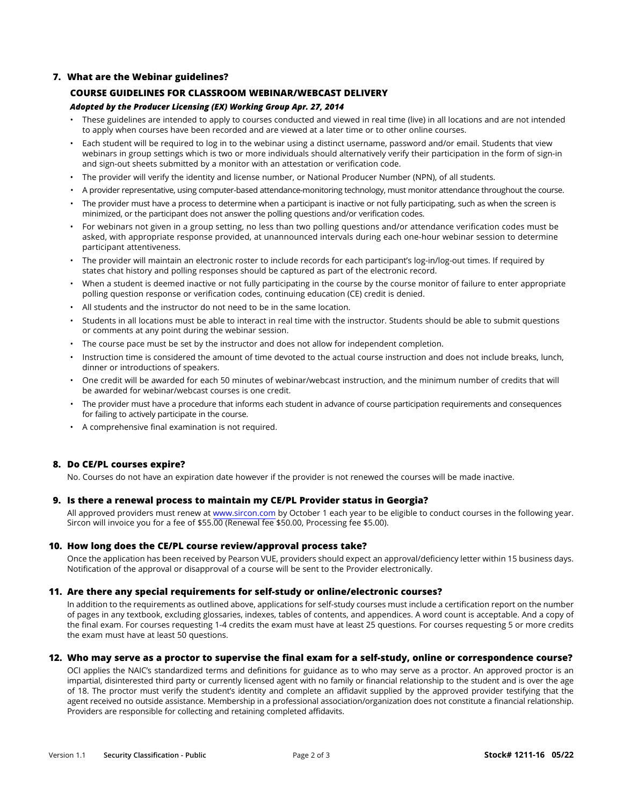# **7. What are the Webinar guidelines?**

## **COURSE GUIDELINES FOR CLASSROOM WEBINAR/WEBCAST DELIVERY**

## *Adopted by the Producer Licensing (EX) Working Group Apr. 27, 2014*

- These guidelines are intended to apply to courses conducted and viewed in real time (live) in all locations and are not intended to apply when courses have been recorded and are viewed at a later time or to other online courses.
- Each student will be required to log in to the webinar using a distinct username, password and/or email. Students that view webinars in group settings which is two or more individuals should alternatively verify their participation in the form of sign-in and sign-out sheets submitted by a monitor with an attestation or verification code.
- The provider will verify the identity and license number, or National Producer Number (NPN), of all students.
- A provider representative, using computer-based attendance-monitoring technology, must monitor attendance throughout the course.
- The provider must have a process to determine when a participant is inactive or not fully participating, such as when the screen is minimized, or the participant does not answer the polling questions and/or verification codes.
- For webinars not given in a group setting, no less than two polling questions and/or attendance verification codes must be asked, with appropriate response provided, at unannounced intervals during each one-hour webinar session to determine participant attentiveness.
- The provider will maintain an electronic roster to include records for each participant's log-in/log-out times. If required by states chat history and polling responses should be captured as part of the electronic record.
- When a student is deemed inactive or not fully participating in the course by the course monitor of failure to enter appropriate polling question response or verification codes, continuing education (CE) credit is denied.
- All students and the instructor do not need to be in the same location.
- Students in all locations must be able to interact in real time with the instructor. Students should be able to submit questions or comments at any point during the webinar session.
- The course pace must be set by the instructor and does not allow for independent completion.
- Instruction time is considered the amount of time devoted to the actual course instruction and does not include breaks, lunch, dinner or introductions of speakers.
- One credit will be awarded for each 50 minutes of webinar/webcast instruction, and the minimum number of credits that will be awarded for webinar/webcast courses is one credit.
- The provider must have a procedure that informs each student in advance of course participation requirements and consequences for failing to actively participate in the course.
- A comprehensive final examination is not required.

## **8. Do CE/PL courses expire?**

No. Courses do not have an expiration date however if the provider is not renewed the courses will be made inactive.

#### **9. Is there a renewal process to maintain my CE/PL Provider status in Georgia?**

All approved providers must renew at [www.sircon.com](http://www.sircon.com) by October 1 each year to be eligible to conduct courses in the following year. Sircon will invoice you for a fee of \$55.00 (Renewal fee \$50.00, Processing fee \$5.00).

#### **10. How long does the CE/PL course review/approval process take?**

Once the application has been received by Pearson VUE, providers should expect an approval/deficiency letter within 15 business days. Notification of the approval or disapproval of a course will be sent to the Provider electronically.

#### **11. Are there any special requirements for self-study or online/electronic courses?**

In addition to the requirements as outlined above, applications for self-study courses must include a certification report on the number of pages in any textbook, excluding glossaries, indexes, tables of contents, and appendices. A word count is acceptable. And a copy of the final exam. For courses requesting 1-4 credits the exam must have at least 25 questions. For courses requesting 5 or more credits the exam must have at least 50 questions.

#### **12. Who may serve as a proctor to supervise the final exam for a self-study, online or correspondence course?**

OCI applies the NAIC's standardized terms and definitions for guidance as to who may serve as a proctor. An approved proctor is an impartial, disinterested third party or currently licensed agent with no family or financial relationship to the student and is over the age of 18. The proctor must verify the student's identity and complete an affidavit supplied by the approved provider testifying that the agent received no outside assistance. Membership in a professional association/organization does not constitute a financial relationship. Providers are responsible for collecting and retaining completed affidavits.